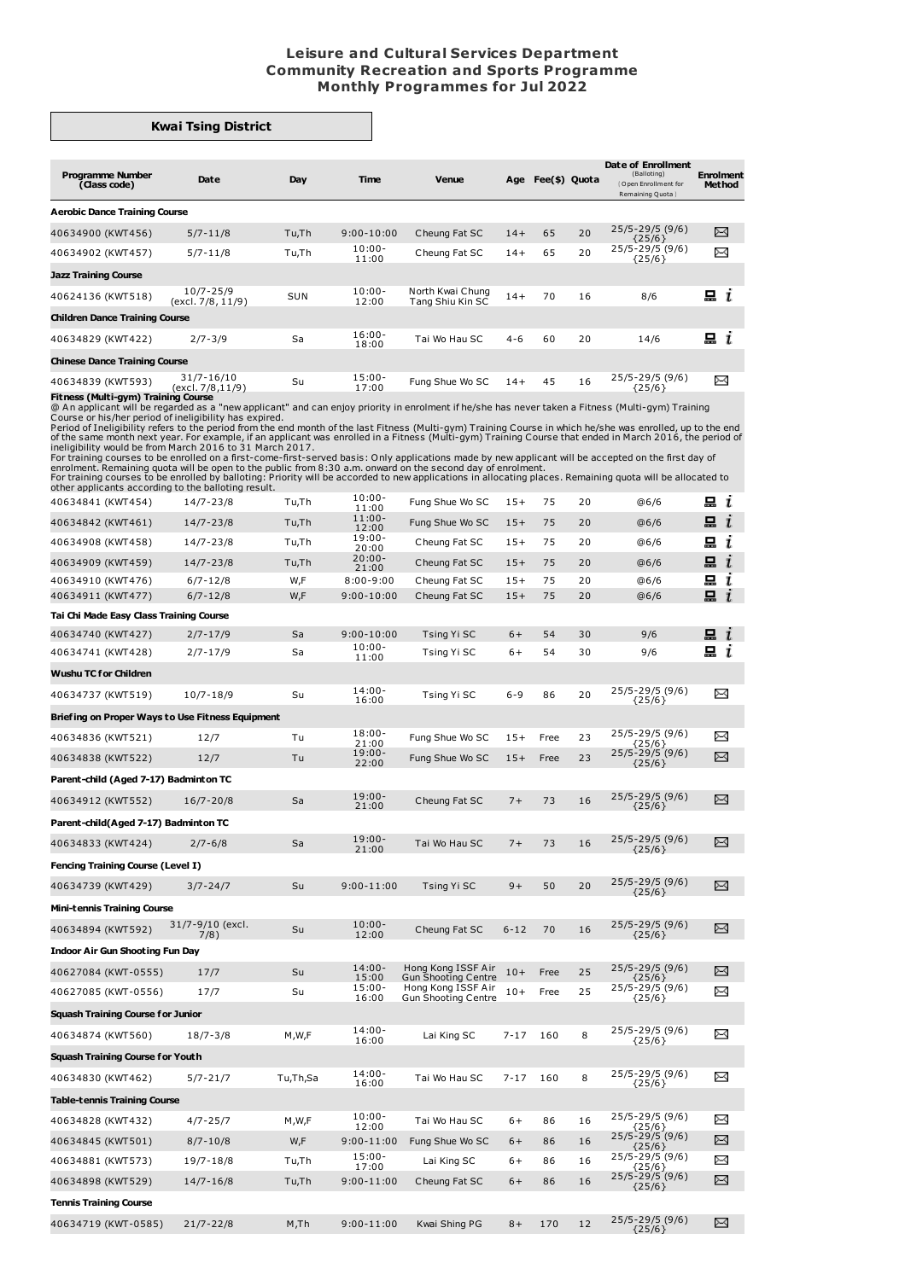## **Leisure and Cultural Services Department Community Recreation and Sports Programme Monthly Programmes for Jul 2022**

## **Kwai Tsing District**

| <b>Programme Number</b><br>(Class code) | Date                               | Day   | <b>Time</b>        | Venue                                | Age     | Fee(\$) Quota |    | Date of Enrollment<br>(Balloting)<br>Open Enrollment for<br>Remaining Quota | <b>Enrolment</b><br><b>Method</b> |
|-----------------------------------------|------------------------------------|-------|--------------------|--------------------------------------|---------|---------------|----|-----------------------------------------------------------------------------|-----------------------------------|
| <b>Aerobic Dance Training Course</b>    |                                    |       |                    |                                      |         |               |    |                                                                             |                                   |
| 40634900 (KWT456)                       | $5/7 - 11/8$                       | Tu,Th | $9:00 - 10:00$     | Cheung Fat SC                        | $14+$   | 65            | 20 | $25/5 - 29/5$ (9/6)<br>${25/6}$                                             | X                                 |
| 40634902 (KWT457)                       | $5/7 - 11/8$                       | Tu,Th | $10:00 -$<br>11:00 | Cheung Fat SC                        | $14+$   | 65            | 20 | 25/5-29/5 (9/6)<br>${25/6}$                                                 | X                                 |
| <b>Jazz Training Course</b>             |                                    |       |                    |                                      |         |               |    |                                                                             |                                   |
| 40624136 (KWT518)                       | $10/7 - 25/9$<br>(excl. 7/8, 11/9) | SUN   | $10:00 -$<br>12:00 | North Kwai Chung<br>Tang Shiu Kin SC | $14+$   | 70            | 16 | 8/6                                                                         | 묘<br>$\mathbf{r}$                 |
| <b>Children Dance Training Course</b>   |                                    |       |                    |                                      |         |               |    |                                                                             |                                   |
| 40634829 (KWT422)                       | $2/7 - 3/9$                        | Sa    | $16:00 -$<br>18:00 | Tai Wo Hau SC                        | $4 - 6$ | 60            | 20 | 14/6                                                                        | 묘<br>$\mathbf{r}$                 |
| <b>Chinese Dance Training Course</b>    |                                    |       |                    |                                      |         |               |    |                                                                             |                                   |
| 40634839 (KWT593)                       | 31/7-16/10<br>(excl. 7/8,11/9)     | Su    | $15:00 -$<br>17:00 | Fung Shue Wo SC                      | $14+$   | 45            | 16 | 25/5-29/5 (9/6)<br>${25/6}$                                                 | X                                 |

The set of Multi-gym) Training Course in which he/she was enrolled in American Course of Multi-gym and Captive Course or his/her period of ineligibility has expired.<br> **Effenses (Multi-gym) Training Course or his/her period** 

For training courses to be enrolled on a first-come-first-served basis: Only applications made by new applicant will be accepted on the first day of<br>enrolment. Remaining quota will be open to the public from 8:30 a.m. onwa

other applicants according to the balloting result. 40634841 (KWT454) 14/7-23/8 Tu,Th 10:00- Fung Shue Wo SC 15+ 75 20 @6/6  $\Xi$  i 11:00<br>11:00 40634842 (KWT461) 14/7-23/8 Tu.Th Fung Shue Wo SC 15+ 75 20 @6/6  $\Box$  i  $12:00$ <br> $19:00$ 40634908 (KWT458) 14/7-23/8 Tu,Th Cheung Fat SC 15+ 75 20 @6/6  $i$ 20:00 20:00<br>20:00-<br>21:00  $\mathbf{a}$  i 40634909 (KWT459) 14/7-23/8 Tu,Th 20:00- Cheung Fat SC 15+ 75 20 @6/6 昷 40634910 (KWT476) 6/7-12/8 W,F 8:00-9:00 Cheung Fat SC 15+ 75 20 @6/6 i 40634911 (KWT477) 6/7-12/8 W,F 9:00-10:00 Cheung Fat SC 15+ 75 20 @6/6 山 Ī. **Tai Chi Made Easy Class Training Course**  $\Xi$  i 40634740 (KWT427) 2/7-17/9 Sa 9:00-10:00 Tsing Yi SC 6+ 54 30 9/6 10:00-<br>11:00 40634741 (KWT428) 2/7-17/9 Sa Tsing Yi SC 6+ 54 30 9/6  $i$ **Wushu TC for Children** 40634737 (KWT519) 10/7-18/9 Su 14:00- 25/5-29/5 (9/6) Tsing Yi SC 6-9 86 20 ⊠ 16:00 {25/6} **Briefing on Proper Ways to Use Fitness Equipment** 40634836 (KWT521) 12/7 Tu 18:00- 25/5-29/5 (9/6) Fung Shue Wo SC 15+ Free 23 ⊠  $21:00$ <br> $19:00$ {25/6} 25/5-29/5 (9/6) 40634838 (KWT522) 12/7 Tu Fung Shue Wo SC 15+ Free 23  $\boxtimes$ 22:00  $\{25/6\}$ **Parent-child (Aged 7-17) Badminton TC** 19:00-<br>21:00 25/5-29/5 (9/6) {25/6}  $\rtimes$ 40634912 (KWT552) 16/7-20/8 Sa Cheung Fat SC 7+ 73 16 **Parent-child(Aged 7-17) Badminton TC** 40634833 (KWT424) 2/7-6/8 Sa 19:00- 25/5-29/5 (9/6) {25/6} Tai Wo Hau SC 7+ 73 16  $\boxtimes$ 21:00 **Fencing Training Course (Level I)** 25/5-29/5 (9/6) {25/6} 40634739 (KWT429) 3/7-24/7 Su 9:00-11:00 Tsing Yi SC 9+ 50 20  $\boxtimes$ **Mini-tennis Training Course** Su 10:00- 40634894 (KWT592) 31/7-9/10 (excl. 7/8) 25/5-29/5 (9/6) {25/6} Cheung Fat SC 6-12 70 16 ⊠  $12:00$ **Indoor Air Gun Shooting FunDay** 40627084 (KWT-0555) 17/7 Su 14:00- 25/5-29/5 (9/6) Hong Kong ISSF Air Gun Shooting Centre 10+ Free 25  $\boxtimes$ 15:00 {25/6} 25/5-29/5 (9/6) {25/6} 15:00<br>16:00 Hong Kong ISSF Air Gun Shooting Centre  $\boxtimes$ 40627085 (KWT-0556) 17/7 Su 10+ Free 25 **Squash Training Course for Junior** 40634874 (KWT560) 18/7-3/8 M, W.F 14:00-25/5-29/5 (9/6) ⊠ Lai King SC 7-17 160 8 16:00<br>00:16  $\{25/6\}$ **Squash Training Course for Youth** 40634830 (KWT462) 5/7-21/7 Tu,Th,Sa 14:00- 25/5-29/5 (9/6) ⊠ Tai Wo Hau SC 7-17 160 8 16:00  ${25/6}$ **Table-tennis Training Course** 10:00<br>12:00 25/5-29/5 (9/6) {25/6} 25/5-29/5 (9/6) 40634828 (KWT432) 4/7-25/7 M, W, F Tai Wo Hau SC 6+ 86 16 ⊠ 40634845 (KWT501) 8/7-10/8 W,F 9:00-11:00 Fung Shue Wo SC 6+ 86 16  $\boxtimes$ {25/6} 25/5-29/5 (9/6) 40634881 (KWT573) 19/7-18/8 Tu,Th 15:00- X Lai King SC 6+ 86 16 17:00 {25/6} 25/5-29/5 (9/6)  $\boxtimes$ 40634898 (KWT529) 14/7-16/8 Tu,Th 9:00-11:00 Cheung Fat SC 6+ 86 16  $\{25/6\}$ **Tennis Training Course** 25/5-29/5 (9/6) 40634719 (KWT-0585) 21/7-22/8 M,Th 9:00-11:00 Kwai Shing PG 8+ 170 12 X

{25/6}